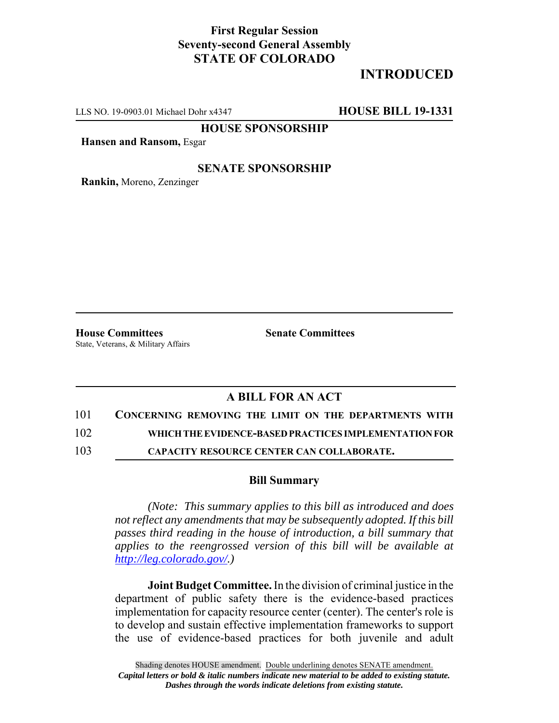## **First Regular Session Seventy-second General Assembly STATE OF COLORADO**

# **INTRODUCED**

LLS NO. 19-0903.01 Michael Dohr x4347 **HOUSE BILL 19-1331**

**HOUSE SPONSORSHIP**

**Hansen and Ransom,** Esgar

### **SENATE SPONSORSHIP**

**Rankin,** Moreno, Zenzinger

**House Committees Senate Committees** State, Veterans, & Military Affairs

## **A BILL FOR AN ACT**

101 **CONCERNING REMOVING THE LIMIT ON THE DEPARTMENTS WITH**

102 **WHICH THE EVIDENCE-BASED PRACTICES IMPLEMENTATION FOR**

103 **CAPACITY RESOURCE CENTER CAN COLLABORATE.**

#### **Bill Summary**

*(Note: This summary applies to this bill as introduced and does not reflect any amendments that may be subsequently adopted. If this bill passes third reading in the house of introduction, a bill summary that applies to the reengrossed version of this bill will be available at http://leg.colorado.gov/.)*

**Joint Budget Committee.** In the division of criminal justice in the department of public safety there is the evidence-based practices implementation for capacity resource center (center). The center's role is to develop and sustain effective implementation frameworks to support the use of evidence-based practices for both juvenile and adult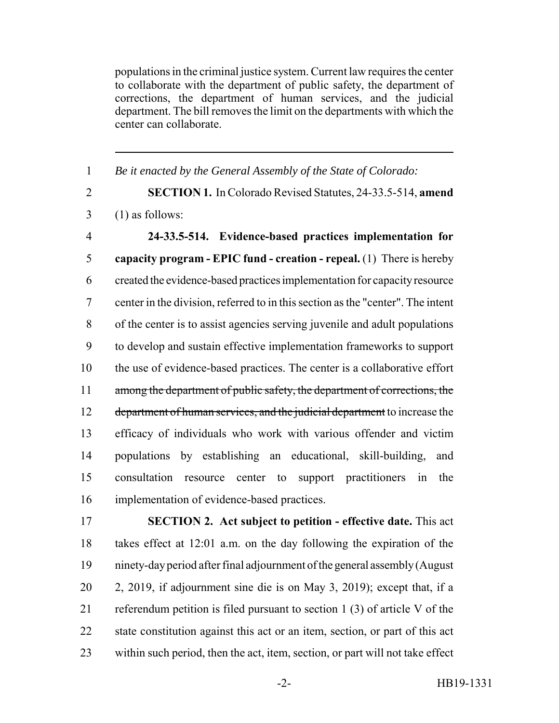populations in the criminal justice system. Current law requires the center to collaborate with the department of public safety, the department of corrections, the department of human services, and the judicial department. The bill removes the limit on the departments with which the center can collaborate.

 *Be it enacted by the General Assembly of the State of Colorado:* **SECTION 1.** In Colorado Revised Statutes, 24-33.5-514, **amend**  $3 \quad (1)$  as follows: **24-33.5-514. Evidence-based practices implementation for capacity program - EPIC fund - creation - repeal.** (1) There is hereby created the evidence-based practices implementation for capacity resource center in the division, referred to in this section as the "center". The intent of the center is to assist agencies serving juvenile and adult populations to develop and sustain effective implementation frameworks to support the use of evidence-based practices. The center is a collaborative effort 11 among the department of public safety, the department of corrections, the 12 department of human services, and the judicial department to increase the efficacy of individuals who work with various offender and victim populations by establishing an educational, skill-building, and consultation resource center to support practitioners in the implementation of evidence-based practices.

 **SECTION 2. Act subject to petition - effective date.** This act takes effect at 12:01 a.m. on the day following the expiration of the ninety-day period after final adjournment of the general assembly (August 2, 2019, if adjournment sine die is on May 3, 2019); except that, if a referendum petition is filed pursuant to section 1 (3) of article V of the state constitution against this act or an item, section, or part of this act within such period, then the act, item, section, or part will not take effect